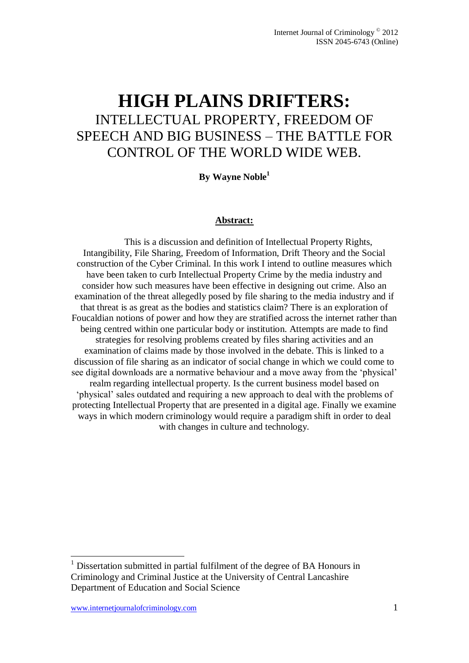# **HIGH PLAINS DRIFTERS:** INTELLECTUAL PROPERTY, FREEDOM OF SPEECH AND BIG BUSINESS – THE BATTLE FOR CONTROL OF THE WORLD WIDE WEB.

**By Wayne Noble<sup>1</sup>**

#### **Abstract:**

This is a discussion and definition of Intellectual Property Rights, Intangibility, File Sharing, Freedom of Information, Drift Theory and the Social construction of the Cyber Criminal. In this work I intend to outline measures which have been taken to curb Intellectual Property Crime by the media industry and consider how such measures have been effective in designing out crime. Also an examination of the threat allegedly posed by file sharing to the media industry and if that threat is as great as the bodies and statistics claim? There is an exploration of Foucaldian notions of power and how they are stratified across the internet rather than being centred within one particular body or institution. Attempts are made to find strategies for resolving problems created by files sharing activities and an examination of claims made by those involved in the debate. This is linked to a discussion of file sharing as an indicator of social change in which we could come to see digital downloads are a normative behaviour and a move away from the "physical" realm regarding intellectual property. Is the current business model based on "physical" sales outdated and requiring a new approach to deal with the problems of protecting Intellectual Property that are presented in a digital age. Finally we examine ways in which modern criminology would require a paradigm shift in order to deal with changes in culture and technology.

1

 $<sup>1</sup>$  Dissertation submitted in partial fulfilment of the degree of BA Honours in</sup> Criminology and Criminal Justice at the University of Central Lancashire Department of Education and Social Science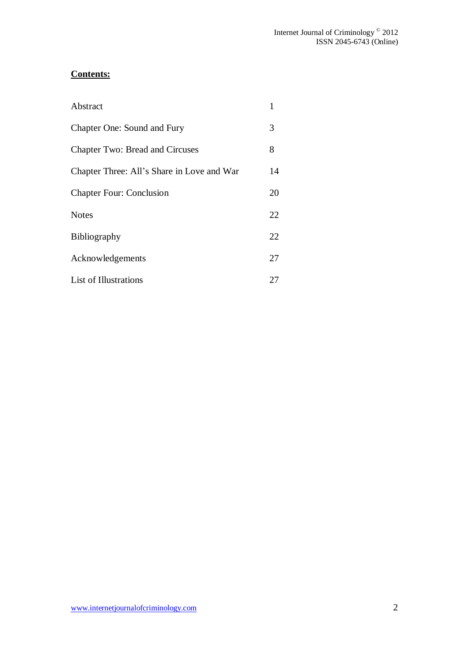# **Contents:**

| Abstract                                   |    |
|--------------------------------------------|----|
| Chapter One: Sound and Fury                | 3  |
| <b>Chapter Two: Bread and Circuses</b>     | 8  |
| Chapter Three: All's Share in Love and War | 14 |
| <b>Chapter Four: Conclusion</b>            | 20 |
| <b>Notes</b>                               | 22 |
| <b>Bibliography</b>                        | 22 |
| Acknowledgements                           | 27 |
| List of Illustrations                      | 27 |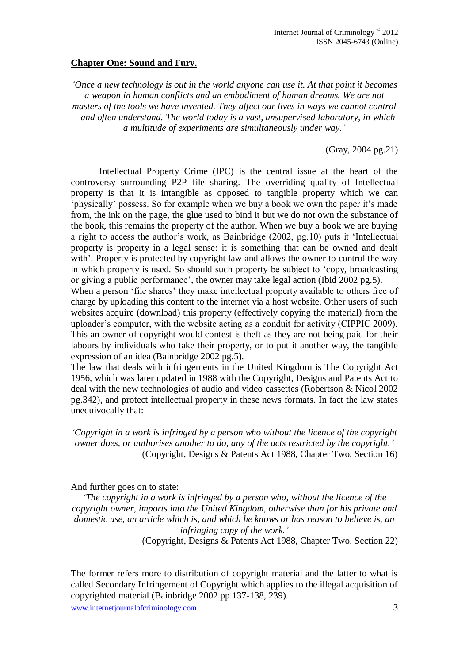#### **Chapter One: Sound and Fury.**

*"Once a new technology is out in the world anyone can use it. At that point it becomes a weapon in human conflicts and an embodiment of human dreams. We are not masters of the tools we have invented. They affect our lives in ways we cannot control – and often understand. The world today is a vast, unsupervised laboratory, in which a multitude of experiments are simultaneously under way."*

(Gray, 2004 pg.21)

Intellectual Property Crime (IPC) is the central issue at the heart of the controversy surrounding P2P file sharing. The overriding quality of Intellectual property is that it is intangible as opposed to tangible property which we can "physically" possess. So for example when we buy a book we own the paper it"s made from, the ink on the page, the glue used to bind it but we do not own the substance of the book, this remains the property of the author. When we buy a book we are buying a right to access the author"s work, as Bainbridge (2002, pg.10) puts it "Intellectual property is property in a legal sense: it is something that can be owned and dealt with'. Property is protected by copyright law and allows the owner to control the way in which property is used. So should such property be subject to "copy, broadcasting or giving a public performance", the owner may take legal action (Ibid 2002 pg.5). When a person 'file shares' they make intellectual property available to others free of

charge by uploading this content to the internet via a host website. Other users of such websites acquire (download) this property (effectively copying the material) from the uploader's computer, with the website acting as a conduit for activity (CIPPIC 2009). This an owner of copyright would contest is theft as they are not being paid for their labours by individuals who take their property, or to put it another way, the tangible expression of an idea (Bainbridge 2002 pg.5).

The law that deals with infringements in the United Kingdom is The Copyright Act 1956, which was later updated in 1988 with the Copyright, Designs and Patents Act to deal with the new technologies of audio and video cassettes (Robertson & Nicol 2002 pg.342), and protect intellectual property in these news formats. In fact the law states unequivocally that:

*"Copyright in a work is infringed by a person who without the licence of the copyright owner does, or authorises another to do, any of the acts restricted by the copyright."* (Copyright, Designs & Patents Act 1988, Chapter Two, Section 16)

And further goes on to state:

*"The copyright in a work is infringed by a person who, without the licence of the copyright owner, imports into the United Kingdom, otherwise than for his private and domestic use, an article which is, and which he knows or has reason to believe is, an infringing copy of the work."*

(Copyright, Designs & Patents Act 1988, Chapter Two, Section 22)

The former refers more to distribution of copyright material and the latter to what is called Secondary Infringement of Copyright which applies to the illegal acquisition of copyrighted material (Bainbridge 2002 pp 137-138, 239).

www.internetjournalofcriminology.com 3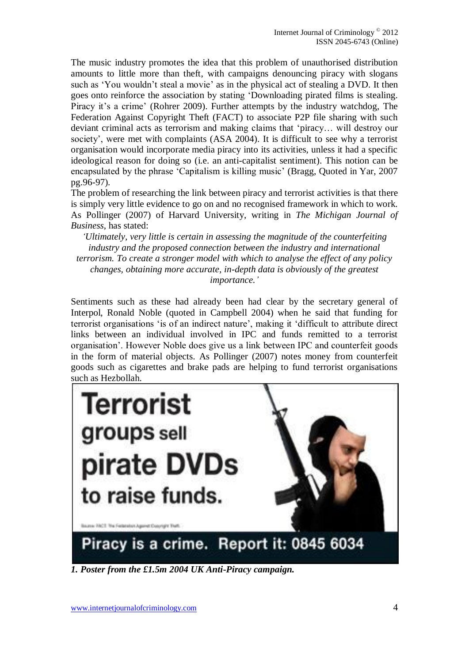The music industry promotes the idea that this problem of unauthorised distribution amounts to little more than theft, with campaigns denouncing piracy with slogans such as 'You wouldn't steal a movie' as in the physical act of stealing a DVD. It then goes onto reinforce the association by stating "Downloading pirated films is stealing. Piracy it's a crime' (Rohrer 2009). Further attempts by the industry watchdog, The Federation Against Copyright Theft (FACT) to associate P2P file sharing with such deviant criminal acts as terrorism and making claims that "piracy… will destroy our society', were met with complaints (ASA 2004). It is difficult to see why a terrorist organisation would incorporate media piracy into its activities, unless it had a specific ideological reason for doing so (i.e. an anti-capitalist sentiment). This notion can be encapsulated by the phrase "Capitalism is killing music" (Bragg, Quoted in Yar, 2007 pg.96-97).

The problem of researching the link between piracy and terrorist activities is that there is simply very little evidence to go on and no recognised framework in which to work. As Pollinger (2007) of Harvard University, writing in *The Michigan Journal of Business*, has stated:

*"Ultimately, very little is certain in assessing the magnitude of the counterfeiting industry and the proposed connection between the industry and international terrorism. To create a stronger model with which to analyse the effect of any policy changes, obtaining more accurate, in-depth data is obviously of the greatest importance."*

Sentiments such as these had already been had clear by the secretary general of Interpol, Ronald Noble (quoted in Campbell 2004) when he said that funding for terrorist organisations "is of an indirect nature", making it "difficult to attribute direct links between an individual involved in IPC and funds remitted to a terrorist organisation". However Noble does give us a link between IPC and counterfeit goods in the form of material objects. As Pollinger (2007) notes money from counterfeit goods such as cigarettes and brake pads are helping to fund terrorist organisations such as Hezbollah.



*1. Poster from the £1.5m 2004 UK Anti-Piracy campaign.*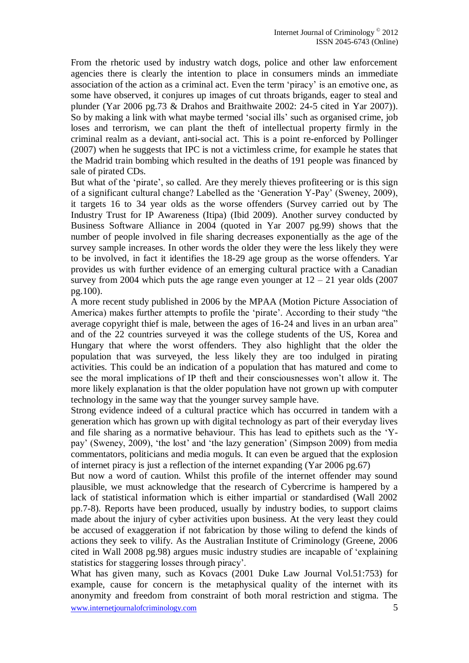From the rhetoric used by industry watch dogs, police and other law enforcement agencies there is clearly the intention to place in consumers minds an immediate association of the action as a criminal act. Even the term "piracy" is an emotive one, as some have observed, it conjures up images of cut throats brigands, eager to steal and plunder (Yar 2006 pg.73 & Drahos and Braithwaite 2002: 24-5 cited in Yar 2007)). So by making a link with what maybe termed "social ills" such as organised crime, job loses and terrorism, we can plant the theft of intellectual property firmly in the criminal realm as a deviant, anti-social act. This is a point re-enforced by Pollinger (2007) when he suggests that IPC is not a victimless crime, for example he states that the Madrid train bombing which resulted in the deaths of 191 people was financed by sale of pirated CDs.

But what of the 'pirate', so called. Are they merely thieves profiteering or is this sign of a significant cultural change? Labelled as the "Generation Y-Pay" (Sweney, 2009), it targets 16 to 34 year olds as the worse offenders (Survey carried out by The Industry Trust for IP Awareness (Itipa) (Ibid 2009). Another survey conducted by Business Software Alliance in 2004 (quoted in Yar 2007 pg.99) shows that the number of people involved in file sharing decreases exponentially as the age of the survey sample increases. In other words the older they were the less likely they were to be involved, in fact it identifies the 18-29 age group as the worse offenders. Yar provides us with further evidence of an emerging cultural practice with a Canadian survey from 2004 which puts the age range even younger at  $12 - 21$  year olds (2007) pg.100).

A more recent study published in 2006 by the MPAA (Motion Picture Association of America) makes further attempts to profile the 'pirate'. According to their study "the average copyright thief is male, between the ages of 16-24 and lives in an urban area" and of the 22 countries surveyed it was the college students of the US, Korea and Hungary that where the worst offenders. They also highlight that the older the population that was surveyed, the less likely they are too indulged in pirating activities. This could be an indication of a population that has matured and come to see the moral implications of IP theft and their consciousnesses won"t allow it. The more likely explanation is that the older population have not grown up with computer technology in the same way that the younger survey sample have.

Strong evidence indeed of a cultural practice which has occurred in tandem with a generation which has grown up with digital technology as part of their everyday lives and file sharing as a normative behaviour. This has lead to epithets such as the "Ypay" (Sweney, 2009), "the lost" and "the lazy generation" (Simpson 2009) from media commentators, politicians and media moguls. It can even be argued that the explosion of internet piracy is just a reflection of the internet expanding (Yar 2006 pg.67)

But now a word of caution. Whilst this profile of the internet offender may sound plausible, we must acknowledge that the research of Cybercrime is hampered by a lack of statistical information which is either impartial or standardised (Wall 2002 pp.7-8). Reports have been produced, usually by industry bodies, to support claims made about the injury of cyber activities upon business. At the very least they could be accused of exaggeration if not fabrication by those wiling to defend the kinds of actions they seek to vilify. As the Australian Institute of Criminology (Greene, 2006 cited in Wall 2008 pg.98) argues music industry studies are incapable of "explaining statistics for staggering losses through piracy".

www.internetjournalofcriminology.com 5 What has given many, such as Kovacs (2001 Duke Law Journal Vol.51:753) for example, cause for concern is the metaphysical quality of the internet with its anonymity and freedom from constraint of both moral restriction and stigma. The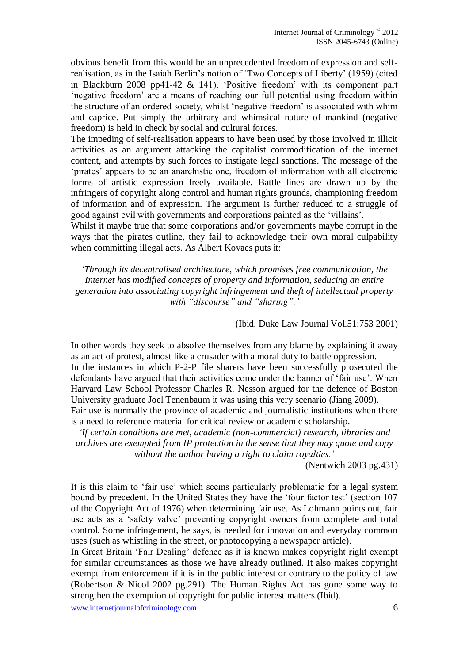obvious benefit from this would be an unprecedented freedom of expression and selfrealisation, as in the Isaiah Berlin"s notion of "Two Concepts of Liberty" (1959) (cited in Blackburn 2008 pp41-42  $\&$  141). 'Positive freedom' with its component part "negative freedom" are a means of reaching our full potential using freedom within the structure of an ordered society, whilst "negative freedom" is associated with whim and caprice. Put simply the arbitrary and whimsical nature of mankind (negative freedom) is held in check by social and cultural forces.

The impeding of self-realisation appears to have been used by those involved in illicit activities as an argument attacking the capitalist commodification of the internet content, and attempts by such forces to instigate legal sanctions. The message of the "pirates" appears to be an anarchistic one, freedom of information with all electronic forms of artistic expression freely available. Battle lines are drawn up by the infringers of copyright along control and human rights grounds, championing freedom of information and of expression. The argument is further reduced to a struggle of good against evil with governments and corporations painted as the "villains".

Whilst it maybe true that some corporations and/or governments maybe corrupt in the ways that the pirates outline, they fail to acknowledge their own moral culpability when committing illegal acts. As Albert Kovacs puts it:

*"Through its decentralised architecture, which promises free communication, the Internet has modified concepts of property and information, seducing an entire generation into associating copyright infringement and theft of intellectual property with "discourse" and "sharing"."*

(Ibid, Duke Law Journal Vol.51:753 2001)

In other words they seek to absolve themselves from any blame by explaining it away as an act of protest, almost like a crusader with a moral duty to battle oppression. In the instances in which P-2-P file sharers have been successfully prosecuted the defendants have argued that their activities come under the banner of "fair use". When Harvard Law School Professor Charles R. Nesson argued for the defence of Boston University graduate Joel Tenenbaum it was using this very scenario (Jiang 2009). Fair use is normally the province of academic and journalistic institutions when there is a need to reference material for critical review or academic scholarship.

*"If certain conditions are met, academic (non-commercial) research, libraries and archives are exempted from IP protection in the sense that they may quote and copy without the author having a right to claim royalties."* 

(Nentwich 2003 pg.431)

It is this claim to 'fair use' which seems particularly problematic for a legal system bound by precedent. In the United States they have the 'four factor test' (section 107 of the Copyright Act of 1976) when determining fair use. As Lohmann points out, fair use acts as a "safety valve" preventing copyright owners from complete and total control. Some infringement, he says, is needed for innovation and everyday common uses (such as whistling in the street, or photocopying a newspaper article).

In Great Britain "Fair Dealing" defence as it is known makes copyright right exempt for similar circumstances as those we have already outlined. It also makes copyright exempt from enforcement if it is in the public interest or contrary to the policy of law (Robertson & Nicol 2002 pg.291). The Human Rights Act has gone some way to strengthen the exemption of copyright for public interest matters (Ibid).

www.internetjournalofcriminology.com 6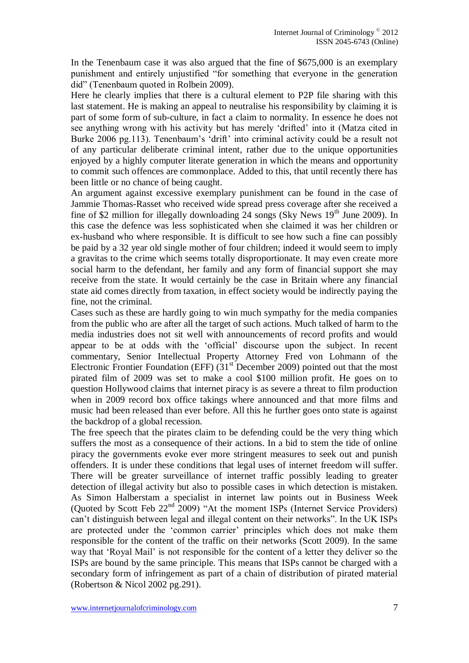In the Tenenbaum case it was also argued that the fine of \$675,000 is an exemplary punishment and entirely unjustified "for something that everyone in the generation did" (Tenenbaum quoted in Rolbein 2009).

Here he clearly implies that there is a cultural element to P2P file sharing with this last statement. He is making an appeal to neutralise his responsibility by claiming it is part of some form of sub-culture, in fact a claim to normality. In essence he does not see anything wrong with his activity but has merely "drifted" into it (Matza cited in Burke 2006 pg.113). Tenenbaum's 'drift' into criminal activity could be a result not of any particular deliberate criminal intent, rather due to the unique opportunities enjoyed by a highly computer literate generation in which the means and opportunity to commit such offences are commonplace. Added to this, that until recently there has been little or no chance of being caught.

An argument against excessive exemplary punishment can be found in the case of Jammie Thomas-Rasset who received wide spread press coverage after she received a fine of \$2 million for illegally downloading  $24$  songs (Sky News 19<sup>th</sup> June 2009). In this case the defence was less sophisticated when she claimed it was her children or ex-husband who where responsible. It is difficult to see how such a fine can possibly be paid by a 32 year old single mother of four children; indeed it would seem to imply a gravitas to the crime which seems totally disproportionate. It may even create more social harm to the defendant, her family and any form of financial support she may receive from the state. It would certainly be the case in Britain where any financial state aid comes directly from taxation, in effect society would be indirectly paying the fine, not the criminal.

Cases such as these are hardly going to win much sympathy for the media companies from the public who are after all the target of such actions. Much talked of harm to the media industries does not sit well with announcements of record profits and would appear to be at odds with the "official" discourse upon the subject. In recent commentary, Senior Intellectual Property Attorney Fred von Lohmann of the Electronic Frontier Foundation (EFF)  $(31<sup>st</sup>$  December 2009) pointed out that the most pirated film of 2009 was set to make a cool \$100 million profit. He goes on to question Hollywood claims that internet piracy is as severe a threat to film production when in 2009 record box office takings where announced and that more films and music had been released than ever before. All this he further goes onto state is against the backdrop of a global recession.

The free speech that the pirates claim to be defending could be the very thing which suffers the most as a consequence of their actions. In a bid to stem the tide of online piracy the governments evoke ever more stringent measures to seek out and punish offenders. It is under these conditions that legal uses of internet freedom will suffer. There will be greater surveillance of internet traffic possibly leading to greater detection of illegal activity but also to possible cases in which detection is mistaken. As Simon Halberstam a specialist in internet law points out in Business Week (Quoted by Scott Feb 22nd 2009) "At the moment ISPs (Internet Service Providers) can"t distinguish between legal and illegal content on their networks". In the UK ISPs are protected under the 'common carrier' principles which does not make them responsible for the content of the traffic on their networks (Scott 2009). In the same way that "Royal Mail" is not responsible for the content of a letter they deliver so the ISPs are bound by the same principle. This means that ISPs cannot be charged with a secondary form of infringement as part of a chain of distribution of pirated material (Robertson & Nicol 2002 pg.291).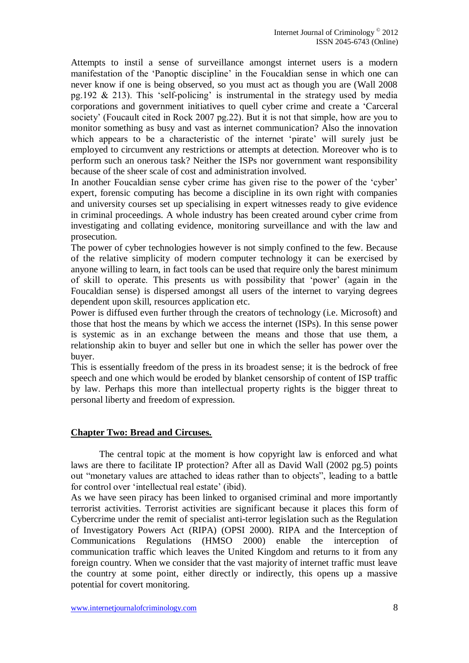Attempts to instil a sense of surveillance amongst internet users is a modern manifestation of the "Panoptic discipline" in the Foucaldian sense in which one can never know if one is being observed, so you must act as though you are (Wall 2008 pg.192  $\&$  213). This 'self-policing' is instrumental in the strategy used by media corporations and government initiatives to quell cyber crime and create a "Carceral society' (Foucault cited in Rock 2007 pg.22). But it is not that simple, how are you to monitor something as busy and vast as internet communication? Also the innovation which appears to be a characteristic of the internet 'pirate' will surely just be employed to circumvent any restrictions or attempts at detection. Moreover who is to perform such an onerous task? Neither the ISPs nor government want responsibility because of the sheer scale of cost and administration involved.

In another Foucaldian sense cyber crime has given rise to the power of the "cyber" expert, forensic computing has become a discipline in its own right with companies and university courses set up specialising in expert witnesses ready to give evidence in criminal proceedings. A whole industry has been created around cyber crime from investigating and collating evidence, monitoring surveillance and with the law and prosecution.

The power of cyber technologies however is not simply confined to the few. Because of the relative simplicity of modern computer technology it can be exercised by anyone willing to learn, in fact tools can be used that require only the barest minimum of skill to operate. This presents us with possibility that "power" (again in the Foucaldian sense) is dispersed amongst all users of the internet to varying degrees dependent upon skill, resources application etc.

Power is diffused even further through the creators of technology (i.e. Microsoft) and those that host the means by which we access the internet (ISPs). In this sense power is systemic as in an exchange between the means and those that use them, a relationship akin to buyer and seller but one in which the seller has power over the buyer.

This is essentially freedom of the press in its broadest sense; it is the bedrock of free speech and one which would be eroded by blanket censorship of content of ISP traffic by law. Perhaps this more than intellectual property rights is the bigger threat to personal liberty and freedom of expression.

## **Chapter Two: Bread and Circuses.**

The central topic at the moment is how copyright law is enforced and what laws are there to facilitate IP protection? After all as David Wall (2002 pg.5) points out "monetary values are attached to ideas rather than to objects", leading to a battle for control over 'intellectual real estate' (ibid).

As we have seen piracy has been linked to organised criminal and more importantly terrorist activities. Terrorist activities are significant because it places this form of Cybercrime under the remit of specialist anti-terror legislation such as the Regulation of Investigatory Powers Act (RIPA) (OPSI 2000). RIPA and the Interception of Communications Regulations (HMSO 2000) enable the interception communication traffic which leaves the United Kingdom and returns to it from any foreign country. When we consider that the vast majority of internet traffic must leave the country at some point, either directly or indirectly, this opens up a massive potential for covert monitoring.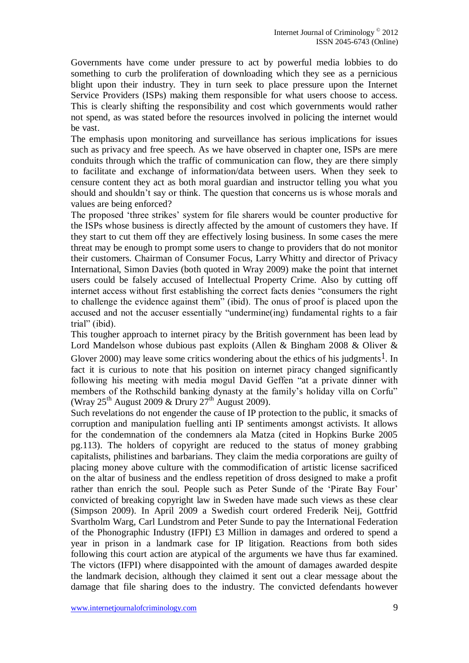Governments have come under pressure to act by powerful media lobbies to do something to curb the proliferation of downloading which they see as a pernicious blight upon their industry. They in turn seek to place pressure upon the Internet Service Providers (ISPs) making them responsible for what users choose to access. This is clearly shifting the responsibility and cost which governments would rather not spend, as was stated before the resources involved in policing the internet would be vast.

The emphasis upon monitoring and surveillance has serious implications for issues such as privacy and free speech. As we have observed in chapter one, ISPs are mere conduits through which the traffic of communication can flow, they are there simply to facilitate and exchange of information/data between users. When they seek to censure content they act as both moral guardian and instructor telling you what you should and shouldn"t say or think. The question that concerns us is whose morals and values are being enforced?

The proposed "three strikes" system for file sharers would be counter productive for the ISPs whose business is directly affected by the amount of customers they have. If they start to cut them off they are effectively losing business. In some cases the mere threat may be enough to prompt some users to change to providers that do not monitor their customers. Chairman of Consumer Focus, Larry Whitty and director of Privacy International, Simon Davies (both quoted in Wray 2009) make the point that internet users could be falsely accused of Intellectual Property Crime. Also by cutting off internet access without first establishing the correct facts denies "consumers the right to challenge the evidence against them" (ibid). The onus of proof is placed upon the accused and not the accuser essentially "undermine(ing) fundamental rights to a fair trial" (ibid).

This tougher approach to internet piracy by the British government has been lead by Lord Mandelson whose dubious past exploits (Allen & Bingham 2008 & Oliver &

Glover 2000) may leave some critics wondering about the ethics of his judgments<sup>1</sup>. In fact it is curious to note that his position on internet piracy changed significantly following his meeting with media mogul David Geffen "at a private dinner with members of the Rothschild banking dynasty at the family"s holiday villa on Corfu" (Wray  $25<sup>th</sup>$  August 2009 & Drury  $27<sup>th</sup>$  August 2009).

Such revelations do not engender the cause of IP protection to the public, it smacks of corruption and manipulation fuelling anti IP sentiments amongst activists. It allows for the condemnation of the condemners ala Matza (cited in Hopkins Burke 2005 pg.113). The holders of copyright are reduced to the status of money grabbing capitalists, philistines and barbarians. They claim the media corporations are guilty of placing money above culture with the commodification of artistic license sacrificed on the altar of business and the endless repetition of dross designed to make a profit rather than enrich the soul. People such as Peter Sunde of the "Pirate Bay Four" convicted of breaking copyright law in Sweden have made such views as these clear (Simpson 2009). In April 2009 a Swedish court ordered Frederik Neij, Gottfrid Svartholm Warg, Carl Lundstrom and Peter Sunde to pay the International Federation of the Phonographic Industry (IFPI) £3 Million in damages and ordered to spend a year in prison in a landmark case for IP litigation. Reactions from both sides following this court action are atypical of the arguments we have thus far examined. The victors (IFPI) where disappointed with the amount of damages awarded despite the landmark decision, although they claimed it sent out a clear message about the damage that file sharing does to the industry. The convicted defendants however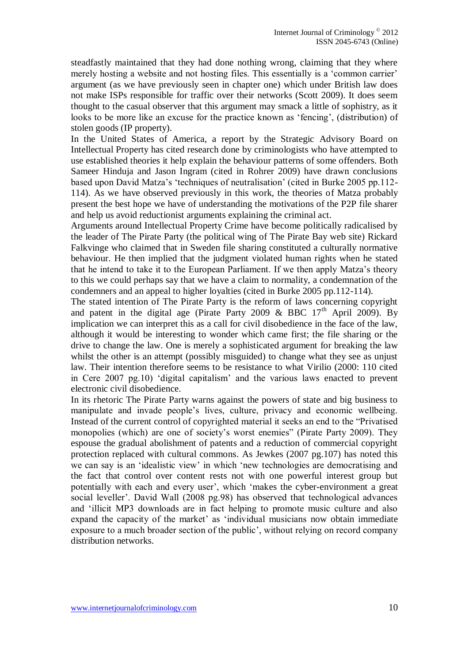steadfastly maintained that they had done nothing wrong, claiming that they where merely hosting a website and not hosting files. This essentially is a 'common carrier' argument (as we have previously seen in chapter one) which under British law does not make ISPs responsible for traffic over their networks (Scott 2009). It does seem thought to the casual observer that this argument may smack a little of sophistry, as it looks to be more like an excuse for the practice known as "fencing", (distribution) of stolen goods (IP property).

In the United States of America, a report by the Strategic Advisory Board on Intellectual Property has cited research done by criminologists who have attempted to use established theories it help explain the behaviour patterns of some offenders. Both Sameer Hinduja and Jason Ingram (cited in Rohrer 2009) have drawn conclusions based upon David Matza"s "techniques of neutralisation" (cited in Burke 2005 pp.112- 114). As we have observed previously in this work, the theories of Matza probably present the best hope we have of understanding the motivations of the P2P file sharer and help us avoid reductionist arguments explaining the criminal act.

Arguments around Intellectual Property Crime have become politically radicalised by the leader of The Pirate Party (the political wing of The Pirate Bay web site) Rickard Falkvinge who claimed that in Sweden file sharing constituted a culturally normative behaviour. He then implied that the judgment violated human rights when he stated that he intend to take it to the European Parliament. If we then apply Matza"s theory to this we could perhaps say that we have a claim to normality, a condemnation of the condemners and an appeal to higher loyalties (cited in Burke 2005 pp.112-114).

The stated intention of The Pirate Party is the reform of laws concerning copyright and patent in the digital age (Pirate Party 2009 & BBC  $17<sup>th</sup>$  April 2009). By implication we can interpret this as a call for civil disobedience in the face of the law, although it would be interesting to wonder which came first; the file sharing or the drive to change the law. One is merely a sophisticated argument for breaking the law whilst the other is an attempt (possibly misguided) to change what they see as unjust law. Their intention therefore seems to be resistance to what Virilio (2000: 110 cited in Cere 2007 pg.10) "digital capitalism" and the various laws enacted to prevent electronic civil disobedience.

In its rhetoric The Pirate Party warns against the powers of state and big business to manipulate and invade people"s lives, culture, privacy and economic wellbeing. Instead of the current control of copyrighted material it seeks an end to the "Privatised monopolies (which) are one of society's worst enemies" (Pirate Party 2009). They espouse the gradual abolishment of patents and a reduction of commercial copyright protection replaced with cultural commons. As Jewkes (2007 pg.107) has noted this we can say is an "idealistic view" in which "new technologies are democratising and the fact that control over content rests not with one powerful interest group but potentially with each and every user", which "makes the cyber-environment a great social leveller'. David Wall (2008 pg.98) has observed that technological advances and "illicit MP3 downloads are in fact helping to promote music culture and also expand the capacity of the market" as "individual musicians now obtain immediate exposure to a much broader section of the public", without relying on record company distribution networks.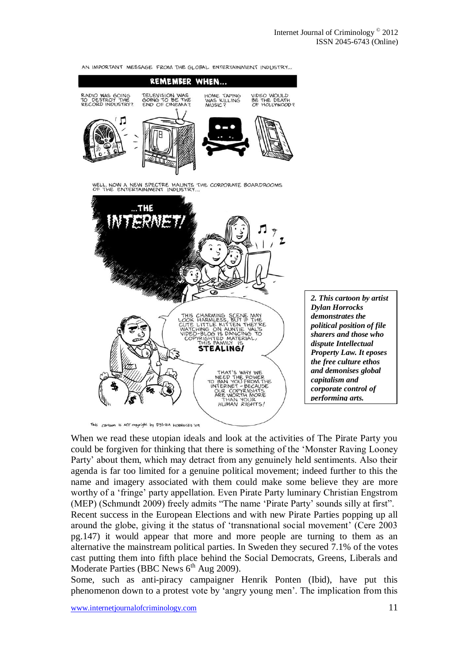

*demonstrates the political position of file sharers and those who dispute Intellectual Property Law. It eposes the free culture ethos and demonises global capitalism and corporate control of performing arts.*

When we read these utopian ideals and look at the activities of The Pirate Party you could be forgiven for thinking that there is something of the "Monster Raving Looney Party' about them, which may detract from any genuinely held sentiments. Also their agenda is far too limited for a genuine political movement; indeed further to this the name and imagery associated with them could make some believe they are more worthy of a "fringe" party appellation. Even Pirate Party luminary Christian Engstrom (MEP) (Schmundt 2009) freely admits "The name "Pirate Party" sounds silly at first". Recent success in the European Elections and with new Pirate Parties popping up all around the globe, giving it the status of "transnational social movement" (Cere 2003 pg.147) it would appear that more and more people are turning to them as an alternative the mainstream political parties. In Sweden they secured 7.1% of the votes cast putting them into fifth place behind the Social Democrats, Greens, Liberals and Moderate Parties (BBC News  $6<sup>th</sup>$  Aug 2009).

Some, such as anti-piracy campaigner Henrik Ponten (Ibid), have put this phenomenon down to a protest vote by "angry young men". The implication from this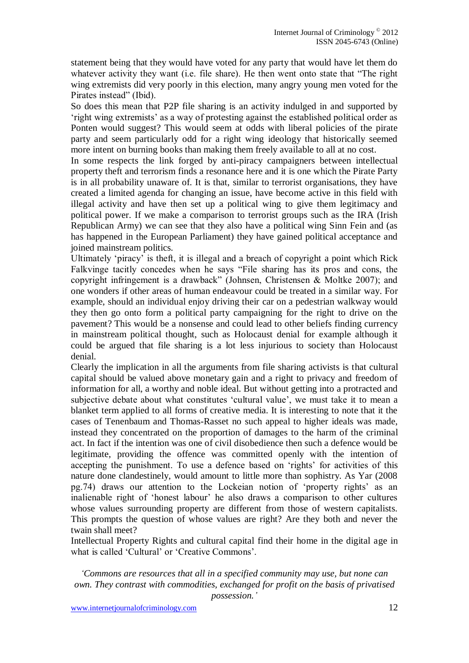statement being that they would have voted for any party that would have let them do whatever activity they want (i.e. file share). He then went onto state that "The right wing extremists did very poorly in this election, many angry young men voted for the Pirates instead" (Ibid).

So does this mean that P2P file sharing is an activity indulged in and supported by "right wing extremists" as a way of protesting against the established political order as Ponten would suggest? This would seem at odds with liberal policies of the pirate party and seem particularly odd for a right wing ideology that historically seemed more intent on burning books than making them freely available to all at no cost.

In some respects the link forged by anti-piracy campaigners between intellectual property theft and terrorism finds a resonance here and it is one which the Pirate Party is in all probability unaware of. It is that, similar to terrorist organisations, they have created a limited agenda for changing an issue, have become active in this field with illegal activity and have then set up a political wing to give them legitimacy and political power. If we make a comparison to terrorist groups such as the IRA (Irish Republican Army) we can see that they also have a political wing Sinn Fein and (as has happened in the European Parliament) they have gained political acceptance and joined mainstream politics.

Ultimately "piracy" is theft, it is illegal and a breach of copyright a point which Rick Falkvinge tacitly concedes when he says "File sharing has its pros and cons, the copyright infringement is a drawback" (Johnsen, Christensen & Moltke 2007); and one wonders if other areas of human endeavour could be treated in a similar way. For example, should an individual enjoy driving their car on a pedestrian walkway would they then go onto form a political party campaigning for the right to drive on the pavement? This would be a nonsense and could lead to other beliefs finding currency in mainstream political thought, such as Holocaust denial for example although it could be argued that file sharing is a lot less injurious to society than Holocaust denial.

Clearly the implication in all the arguments from file sharing activists is that cultural capital should be valued above monetary gain and a right to privacy and freedom of information for all, a worthy and noble ideal. But without getting into a protracted and subjective debate about what constitutes "cultural value", we must take it to mean a blanket term applied to all forms of creative media. It is interesting to note that it the cases of Tenenbaum and Thomas-Rasset no such appeal to higher ideals was made, instead they concentrated on the proportion of damages to the harm of the criminal act. In fact if the intention was one of civil disobedience then such a defence would be legitimate, providing the offence was committed openly with the intention of accepting the punishment. To use a defence based on 'rights' for activities of this nature done clandestinely, would amount to little more than sophistry. As Yar (2008 pg.74) draws our attention to the Lockeian notion of "property rights" as an inalienable right of "honest labour" he also draws a comparison to other cultures whose values surrounding property are different from those of western capitalists. This prompts the question of whose values are right? Are they both and never the twain shall meet?

Intellectual Property Rights and cultural capital find their home in the digital age in what is called 'Cultural' or 'Creative Commons'.

*"Commons are resources that all in a specified community may use, but none can own. They contrast with commodities, exchanged for profit on the basis of privatised possession."*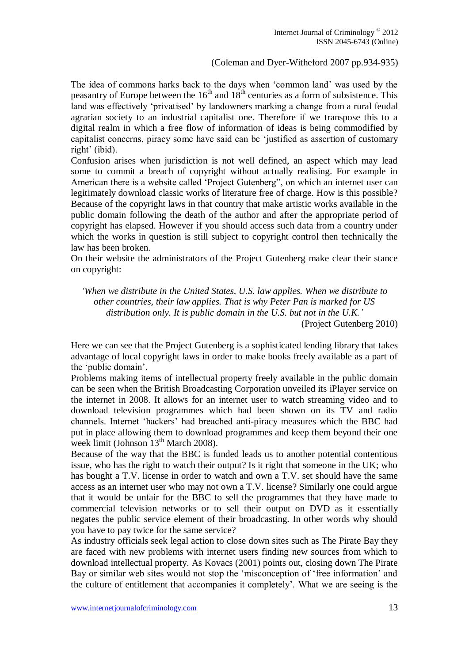## (Coleman and Dyer-Witheford 2007 pp.934-935)

The idea of commons harks back to the days when "common land" was used by the peasantry of Europe between the  $16<sup>th</sup>$  and  $18<sup>th</sup>$  centuries as a form of subsistence. This land was effectively "privatised" by landowners marking a change from a rural feudal agrarian society to an industrial capitalist one. Therefore if we transpose this to a digital realm in which a free flow of information of ideas is being commodified by capitalist concerns, piracy some have said can be "justified as assertion of customary right' (ibid).

Confusion arises when jurisdiction is not well defined, an aspect which may lead some to commit a breach of copyright without actually realising. For example in American there is a website called "Project Gutenberg", on which an internet user can legitimately download classic works of literature free of charge. How is this possible? Because of the copyright laws in that country that make artistic works available in the public domain following the death of the author and after the appropriate period of copyright has elapsed. However if you should access such data from a country under which the works in question is still subject to copyright control then technically the law has been broken.

On their website the administrators of the Project Gutenberg make clear their stance on copyright:

*"When we distribute in the United States, U.S. law applies. When we distribute to other countries, their law applies. That is why Peter Pan is marked for US distribution only. It is public domain in the U.S. but not in the U.K."* (Project Gutenberg 2010)

Here we can see that the Project Gutenberg is a sophisticated lending library that takes advantage of local copyright laws in order to make books freely available as a part of the "public domain".

Problems making items of intellectual property freely available in the public domain can be seen when the British Broadcasting Corporation unveiled its iPlayer service on the internet in 2008. It allows for an internet user to watch streaming video and to download television programmes which had been shown on its TV and radio channels. Internet "hackers" had breached anti-piracy measures which the BBC had put in place allowing them to download programmes and keep them beyond their one week limit (Johnson  $13<sup>th</sup>$  March 2008).

Because of the way that the BBC is funded leads us to another potential contentious issue, who has the right to watch their output? Is it right that someone in the UK; who has bought a T.V. license in order to watch and own a T.V. set should have the same access as an internet user who may not own a T.V. license? Similarly one could argue that it would be unfair for the BBC to sell the programmes that they have made to commercial television networks or to sell their output on DVD as it essentially negates the public service element of their broadcasting. In other words why should you have to pay twice for the same service?

As industry officials seek legal action to close down sites such as The Pirate Bay they are faced with new problems with internet users finding new sources from which to download intellectual property. As Kovacs (2001) points out, closing down The Pirate Bay or similar web sites would not stop the 'misconception of 'free information' and the culture of entitlement that accompanies it completely". What we are seeing is the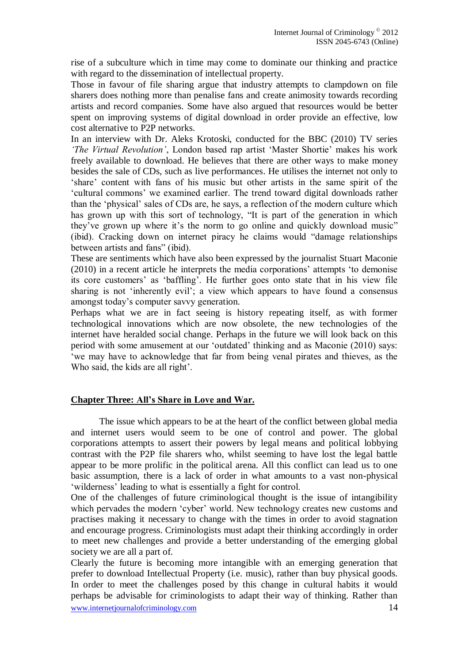rise of a subculture which in time may come to dominate our thinking and practice with regard to the dissemination of intellectual property.

Those in favour of file sharing argue that industry attempts to clampdown on file sharers does nothing more than penalise fans and create animosity towards recording artists and record companies. Some have also argued that resources would be better spent on improving systems of digital download in order provide an effective, low cost alternative to P2P networks.

In an interview with Dr. Aleks Krotoski, conducted for the BBC (2010) TV series *"The Virtual Revolution"*, London based rap artist "Master Shortie" makes his work freely available to download. He believes that there are other ways to make money besides the sale of CDs, such as live performances. He utilises the internet not only to "share" content with fans of his music but other artists in the same spirit of the "cultural commons" we examined earlier. The trend toward digital downloads rather than the "physical" sales of CDs are, he says, a reflection of the modern culture which has grown up with this sort of technology, "It is part of the generation in which they've grown up where it's the norm to go online and quickly download music" (ibid). Cracking down on internet piracy he claims would "damage relationships between artists and fans" (ibid).

These are sentiments which have also been expressed by the journalist Stuart Maconie (2010) in a recent article he interprets the media corporations" attempts "to demonise its core customers' as 'baffling'. He further goes onto state that in his view file sharing is not "inherently evil"; a view which appears to have found a consensus amongst today"s computer savvy generation.

Perhaps what we are in fact seeing is history repeating itself, as with former technological innovations which are now obsolete, the new technologies of the internet have heralded social change. Perhaps in the future we will look back on this period with some amusement at our "outdated" thinking and as Maconie (2010) says: "we may have to acknowledge that far from being venal pirates and thieves, as the Who said, the kids are all right'.

## **Chapter Three: All's Share in Love and War.**

The issue which appears to be at the heart of the conflict between global media and internet users would seem to be one of control and power. The global corporations attempts to assert their powers by legal means and political lobbying contrast with the P2P file sharers who, whilst seeming to have lost the legal battle appear to be more prolific in the political arena. All this conflict can lead us to one basic assumption, there is a lack of order in what amounts to a vast non-physical "wilderness" leading to what is essentially a fight for control.

One of the challenges of future criminological thought is the issue of intangibility which pervades the modern 'cyber' world. New technology creates new customs and practises making it necessary to change with the times in order to avoid stagnation and encourage progress. Criminologists must adapt their thinking accordingly in order to meet new challenges and provide a better understanding of the emerging global society we are all a part of.

www.internetjournalofcriminology.com 14 Clearly the future is becoming more intangible with an emerging generation that prefer to download Intellectual Property (i.e. music), rather than buy physical goods. In order to meet the challenges posed by this change in cultural habits it would perhaps be advisable for criminologists to adapt their way of thinking. Rather than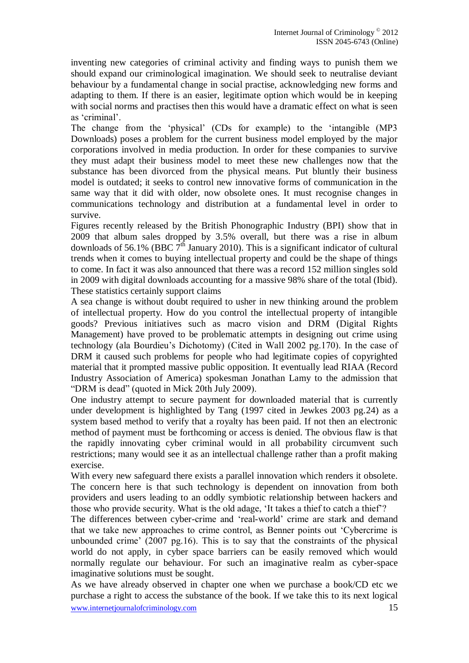inventing new categories of criminal activity and finding ways to punish them we should expand our criminological imagination. We should seek to neutralise deviant behaviour by a fundamental change in social practise, acknowledging new forms and adapting to them. If there is an easier, legitimate option which would be in keeping with social norms and practises then this would have a dramatic effect on what is seen as "criminal".

The change from the "physical" (CDs for example) to the "intangible (MP3 Downloads) poses a problem for the current business model employed by the major corporations involved in media production. In order for these companies to survive they must adapt their business model to meet these new challenges now that the substance has been divorced from the physical means. Put bluntly their business model is outdated; it seeks to control new innovative forms of communication in the same way that it did with older, now obsolete ones. It must recognise changes in communications technology and distribution at a fundamental level in order to survive.

Figures recently released by the British Phonographic Industry (BPI) show that in 2009 that album sales dropped by 3.5% overall, but there was a rise in album downloads of 56.1% (BBC  $7<sup>th</sup>$  January 2010). This is a significant indicator of cultural trends when it comes to buying intellectual property and could be the shape of things to come. In fact it was also announced that there was a record 152 million singles sold in 2009 with digital downloads accounting for a massive 98% share of the total (Ibid). These statistics certainly support claims

A sea change is without doubt required to usher in new thinking around the problem of intellectual property. How do you control the intellectual property of intangible goods? Previous initiatives such as macro vision and DRM (Digital Rights Management) have proved to be problematic attempts in designing out crime using technology (ala Bourdieu"s Dichotomy) (Cited in Wall 2002 pg.170). In the case of DRM it caused such problems for people who had legitimate copies of copyrighted material that it prompted massive public opposition. It eventually lead RIAA (Record Industry Association of America) spokesman Jonathan Lamy to the admission that "DRM is dead" (quoted in Mick 20th July 2009).

One industry attempt to secure payment for downloaded material that is currently under development is highlighted by Tang (1997 cited in Jewkes 2003 pg.24) as a system based method to verify that a royalty has been paid. If not then an electronic method of payment must be forthcoming or access is denied. The obvious flaw is that the rapidly innovating cyber criminal would in all probability circumvent such restrictions; many would see it as an intellectual challenge rather than a profit making exercise.

With every new safeguard there exists a parallel innovation which renders it obsolete. The concern here is that such technology is dependent on innovation from both providers and users leading to an oddly symbiotic relationship between hackers and those who provide security. What is the old adage, "It takes a thief to catch a thief"?

The differences between cyber-crime and "real-world" crime are stark and demand that we take new approaches to crime control, as Benner points out "Cybercrime is unbounded crime'  $(2007 \text{ pg}, 16)$ . This is to say that the constraints of the physical world do not apply, in cyber space barriers can be easily removed which would normally regulate our behaviour. For such an imaginative realm as cyber-space imaginative solutions must be sought.

www.internetjournalofcriminology.com 15 As we have already observed in chapter one when we purchase a book/CD etc we purchase a right to access the substance of the book. If we take this to its next logical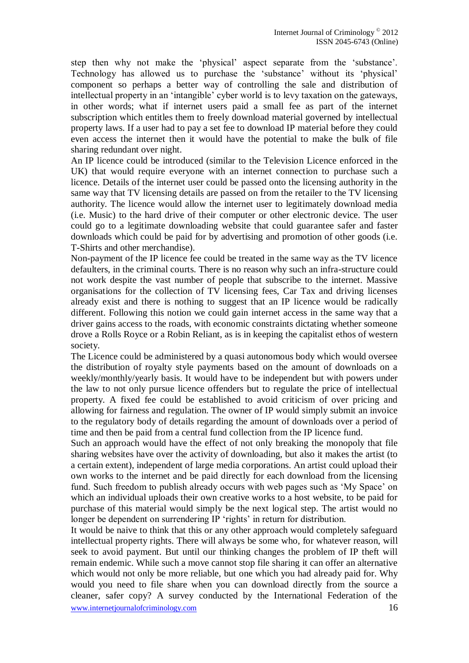step then why not make the "physical" aspect separate from the "substance". Technology has allowed us to purchase the "substance" without its "physical" component so perhaps a better way of controlling the sale and distribution of intellectual property in an "intangible" cyber world is to levy taxation on the gateways, in other words; what if internet users paid a small fee as part of the internet subscription which entitles them to freely download material governed by intellectual property laws. If a user had to pay a set fee to download IP material before they could even access the internet then it would have the potential to make the bulk of file sharing redundant over night.

An IP licence could be introduced (similar to the Television Licence enforced in the UK) that would require everyone with an internet connection to purchase such a licence. Details of the internet user could be passed onto the licensing authority in the same way that TV licensing details are passed on from the retailer to the TV licensing authority. The licence would allow the internet user to legitimately download media (i.e. Music) to the hard drive of their computer or other electronic device. The user could go to a legitimate downloading website that could guarantee safer and faster downloads which could be paid for by advertising and promotion of other goods (i.e. T-Shirts and other merchandise).

Non-payment of the IP licence fee could be treated in the same way as the TV licence defaulters, in the criminal courts. There is no reason why such an infra-structure could not work despite the vast number of people that subscribe to the internet. Massive organisations for the collection of TV licensing fees, Car Tax and driving licenses already exist and there is nothing to suggest that an IP licence would be radically different. Following this notion we could gain internet access in the same way that a driver gains access to the roads, with economic constraints dictating whether someone drove a Rolls Royce or a Robin Reliant, as is in keeping the capitalist ethos of western society.

The Licence could be administered by a quasi autonomous body which would oversee the distribution of royalty style payments based on the amount of downloads on a weekly/monthly/yearly basis. It would have to be independent but with powers under the law to not only pursue licence offenders but to regulate the price of intellectual property. A fixed fee could be established to avoid criticism of over pricing and allowing for fairness and regulation. The owner of IP would simply submit an invoice to the regulatory body of details regarding the amount of downloads over a period of time and then be paid from a central fund collection from the IP licence fund.

Such an approach would have the effect of not only breaking the monopoly that file sharing websites have over the activity of downloading, but also it makes the artist (to a certain extent), independent of large media corporations. An artist could upload their own works to the internet and be paid directly for each download from the licensing fund. Such freedom to publish already occurs with web pages such as "My Space" on which an individual uploads their own creative works to a host website, to be paid for purchase of this material would simply be the next logical step. The artist would no longer be dependent on surrendering IP 'rights' in return for distribution.

www.internetjournalofcriminology.com 16 It would be naive to think that this or any other approach would completely safeguard intellectual property rights. There will always be some who, for whatever reason, will seek to avoid payment. But until our thinking changes the problem of IP theft will remain endemic. While such a move cannot stop file sharing it can offer an alternative which would not only be more reliable, but one which you had already paid for. Why would you need to file share when you can download directly from the source a cleaner, safer copy? A survey conducted by the International Federation of the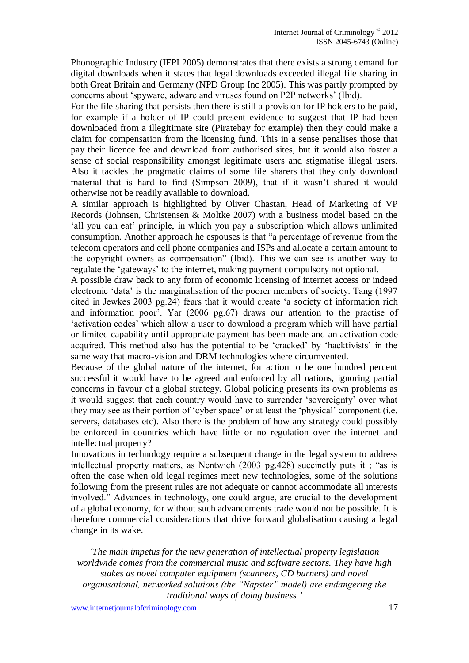Phonographic Industry (IFPI 2005) demonstrates that there exists a strong demand for digital downloads when it states that legal downloads exceeded illegal file sharing in both Great Britain and Germany (NPD Group Inc 2005). This was partly prompted by concerns about "spyware, adware and viruses found on P2P networks" (Ibid).

For the file sharing that persists then there is still a provision for IP holders to be paid, for example if a holder of IP could present evidence to suggest that IP had been downloaded from a illegitimate site (Piratebay for example) then they could make a claim for compensation from the licensing fund. This in a sense penalises those that pay their licence fee and download from authorised sites, but it would also foster a sense of social responsibility amongst legitimate users and stigmatise illegal users. Also it tackles the pragmatic claims of some file sharers that they only download material that is hard to find (Simpson 2009), that if it wasn"t shared it would otherwise not be readily available to download.

A similar approach is highlighted by Oliver Chastan, Head of Marketing of VP Records (Johnsen, Christensen & Moltke 2007) with a business model based on the 'all you can eat' principle, in which you pay a subscription which allows unlimited consumption. Another approach he espouses is that "a percentage of revenue from the telecom operators and cell phone companies and ISPs and allocate a certain amount to the copyright owners as compensation" (Ibid). This we can see is another way to regulate the "gateways" to the internet, making payment compulsory not optional.

A possible draw back to any form of economic licensing of internet access or indeed electronic "data" is the marginalisation of the poorer members of society. Tang (1997 cited in Jewkes 2003 pg.24) fears that it would create "a society of information rich and information poor". Yar (2006 pg.67) draws our attention to the practise of 'activation codes' which allow a user to download a program which will have partial or limited capability until appropriate payment has been made and an activation code acquired. This method also has the potential to be "cracked" by "hacktivists" in the same way that macro-vision and DRM technologies where circumvented.

Because of the global nature of the internet, for action to be one hundred percent successful it would have to be agreed and enforced by all nations, ignoring partial concerns in favour of a global strategy. Global policing presents its own problems as it would suggest that each country would have to surrender "sovereignty" over what they may see as their portion of "cyber space" or at least the "physical" component (i.e. servers, databases etc). Also there is the problem of how any strategy could possibly be enforced in countries which have little or no regulation over the internet and intellectual property?

Innovations in technology require a subsequent change in the legal system to address intellectual property matters, as Nentwich (2003 pg.428) succinctly puts it ; "as is often the case when old legal regimes meet new technologies, some of the solutions following from the present rules are not adequate or cannot accommodate all interests involved." Advances in technology, one could argue, are crucial to the development of a global economy, for without such advancements trade would not be possible. It is therefore commercial considerations that drive forward globalisation causing a legal change in its wake.

*"The main impetus for the new generation of intellectual property legislation worldwide comes from the commercial music and software sectors. They have high stakes as novel computer equipment (scanners, CD burners) and novel organisational, networked solutions (the "Napster" model) are endangering the traditional ways of doing business."*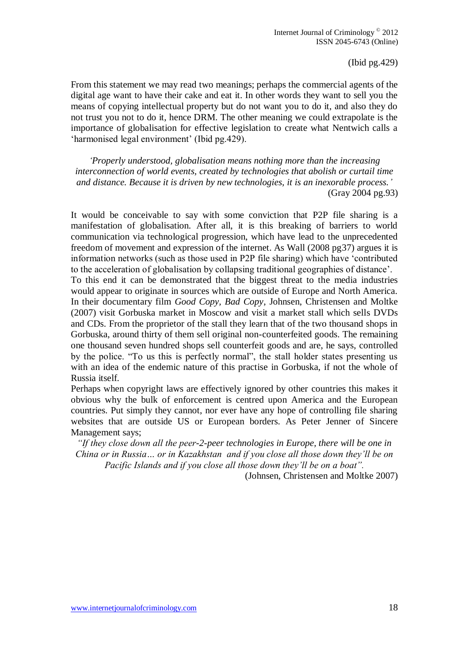(Ibid pg.429)

From this statement we may read two meanings; perhaps the commercial agents of the digital age want to have their cake and eat it. In other words they want to sell you the means of copying intellectual property but do not want you to do it, and also they do not trust you not to do it, hence DRM. The other meaning we could extrapolate is the importance of globalisation for effective legislation to create what Nentwich calls a 'harmonised legal environment' (Ibid pg. 429).

*"Properly understood, globalisation means nothing more than the increasing interconnection of world events, created by technologies that abolish or curtail time and distance. Because it is driven by new technologies, it is an inexorable process."* (Gray 2004 pg.93)

It would be conceivable to say with some conviction that P2P file sharing is a manifestation of globalisation. After all, it is this breaking of barriers to world communication via technological progression, which have lead to the unprecedented freedom of movement and expression of the internet. As Wall (2008 pg37) argues it is information networks (such as those used in P2P file sharing) which have "contributed to the acceleration of globalisation by collapsing traditional geographies of distance".

To this end it can be demonstrated that the biggest threat to the media industries would appear to originate in sources which are outside of Europe and North America. In their documentary film *Good Copy, Bad Copy*, Johnsen, Christensen and Moltke (2007) visit Gorbuska market in Moscow and visit a market stall which sells DVDs and CDs. From the proprietor of the stall they learn that of the two thousand shops in Gorbuska, around thirty of them sell original non-counterfeited goods. The remaining one thousand seven hundred shops sell counterfeit goods and are, he says, controlled by the police. "To us this is perfectly normal", the stall holder states presenting us with an idea of the endemic nature of this practise in Gorbuska, if not the whole of Russia itself.

Perhaps when copyright laws are effectively ignored by other countries this makes it obvious why the bulk of enforcement is centred upon America and the European countries. Put simply they cannot, nor ever have any hope of controlling file sharing websites that are outside US or European borders. As Peter Jenner of Sincere Management says;

*"If they close down all the peer-2-peer technologies in Europe, there will be one in China or in Russia… or in Kazakhstan and if you close all those down they"ll be on Pacific Islands and if you close all those down they"ll be on a boat".*

(Johnsen, Christensen and Moltke 2007)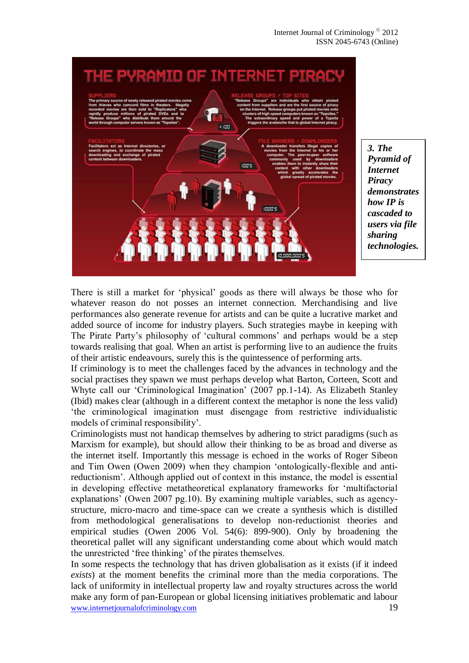

*3. The Pyramid of Internet Piracy demonstrates how IP is cascaded to users via file sharing technologies.*

There is still a market for "physical" goods as there will always be those who for whatever reason do not posses an internet connection. Merchandising and live performances also generate revenue for artists and can be quite a lucrative market and added source of income for industry players. Such strategies maybe in keeping with The Pirate Party"s philosophy of "cultural commons" and perhaps would be a step towards realising that goal. When an artist is performing live to an audience the fruits of their artistic endeavours, surely this is the quintessence of performing arts.

If criminology is to meet the challenges faced by the advances in technology and the social practises they spawn we must perhaps develop what Barton, Corteen, Scott and Whyte call our "Criminological Imagination" (2007 pp.1-14). As Elizabeth Stanley (Ibid) makes clear (although in a different context the metaphor is none the less valid) "the criminological imagination must disengage from restrictive individualistic models of criminal responsibility".

Criminologists must not handicap themselves by adhering to strict paradigms (such as Marxism for example), but should allow their thinking to be as broad and diverse as the internet itself. Importantly this message is echoed in the works of Roger Sibeon and Tim Owen (Owen 2009) when they champion "ontologically-flexible and antireductionism". Although applied out of context in this instance, the model is essential in developing effective metatheoretical explanatory frameworks for "multifactorial explanations" (Owen 2007 pg.10). By examining multiple variables, such as agencystructure, micro-macro and time-space can we create a synthesis which is distilled from methodological generalisations to develop non-reductionist theories and empirical studies (Owen 2006 Vol. 54(6): 899-900). Only by broadening the theoretical pallet will any significant understanding come about which would match the unrestricted "free thinking" of the pirates themselves.

www.internetjournalofcriminology.com 19 In some respects the technology that has driven globalisation as it exists (if it indeed *exists*) at the moment benefits the criminal more than the media corporations. The lack of uniformity in intellectual property law and royalty structures across the world make any form of pan-European or global licensing initiatives problematic and labour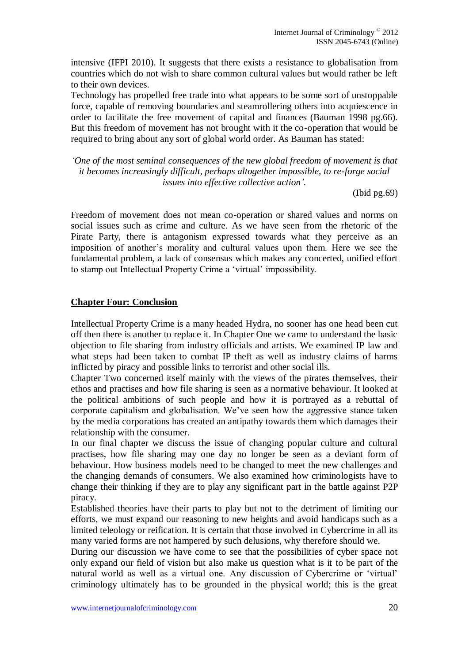intensive (IFPI 2010). It suggests that there exists a resistance to globalisation from countries which do not wish to share common cultural values but would rather be left to their own devices.

Technology has propelled free trade into what appears to be some sort of unstoppable force, capable of removing boundaries and steamrollering others into acquiescence in order to facilitate the free movement of capital and finances (Bauman 1998 pg.66). But this freedom of movement has not brought with it the co-operation that would be required to bring about any sort of global world order. As Bauman has stated:

*"One of the most seminal consequences of the new global freedom of movement is that it becomes increasingly difficult, perhaps altogether impossible, to re-forge social issues into effective collective action".*

(Ibid pg.69)

Freedom of movement does not mean co-operation or shared values and norms on social issues such as crime and culture. As we have seen from the rhetoric of the Pirate Party, there is antagonism expressed towards what they perceive as an imposition of another"s morality and cultural values upon them. Here we see the fundamental problem, a lack of consensus which makes any concerted, unified effort to stamp out Intellectual Property Crime a "virtual" impossibility.

#### **Chapter Four: Conclusion**

Intellectual Property Crime is a many headed Hydra, no sooner has one head been cut off then there is another to replace it. In Chapter One we came to understand the basic objection to file sharing from industry officials and artists. We examined IP law and what steps had been taken to combat IP theft as well as industry claims of harms inflicted by piracy and possible links to terrorist and other social ills.

Chapter Two concerned itself mainly with the views of the pirates themselves, their ethos and practises and how file sharing is seen as a normative behaviour. It looked at the political ambitions of such people and how it is portrayed as a rebuttal of corporate capitalism and globalisation. We"ve seen how the aggressive stance taken by the media corporations has created an antipathy towards them which damages their relationship with the consumer.

In our final chapter we discuss the issue of changing popular culture and cultural practises, how file sharing may one day no longer be seen as a deviant form of behaviour. How business models need to be changed to meet the new challenges and the changing demands of consumers. We also examined how criminologists have to change their thinking if they are to play any significant part in the battle against P2P piracy.

Established theories have their parts to play but not to the detriment of limiting our efforts, we must expand our reasoning to new heights and avoid handicaps such as a limited teleology or reification. It is certain that those involved in Cybercrime in all its many varied forms are not hampered by such delusions, why therefore should we.

During our discussion we have come to see that the possibilities of cyber space not only expand our field of vision but also make us question what is it to be part of the natural world as well as a virtual one. Any discussion of Cybercrime or "virtual" criminology ultimately has to be grounded in the physical world; this is the great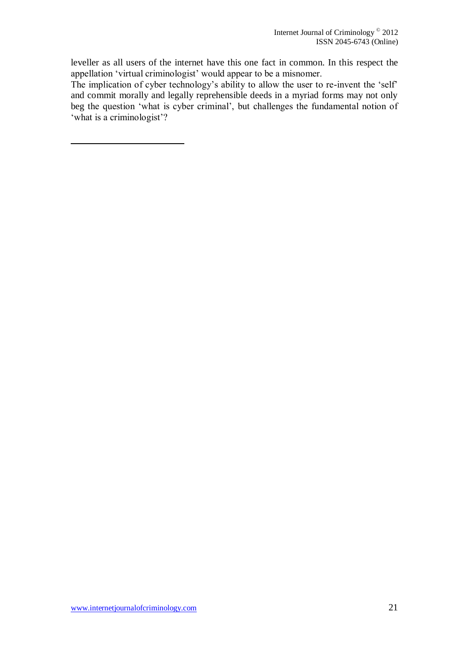leveller as all users of the internet have this one fact in common. In this respect the appellation "virtual criminologist" would appear to be a misnomer.

The implication of cyber technology's ability to allow the user to re-invent the 'self' and commit morally and legally reprehensible deeds in a myriad forms may not only beg the question 'what is cyber criminal', but challenges the fundamental notion of 'what is a criminologist'?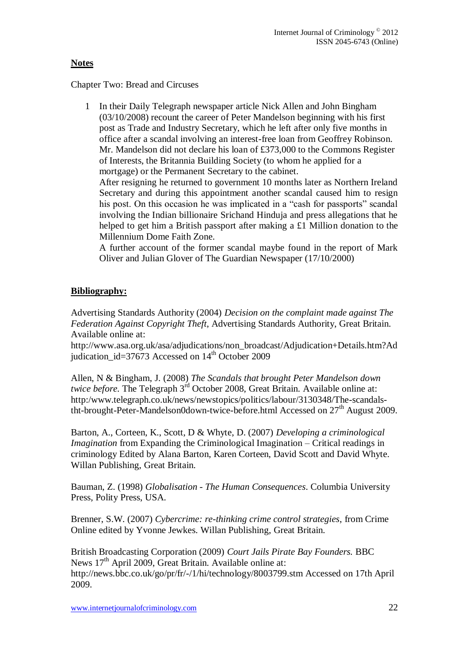# **Notes**

Chapter Two: Bread and Circuses

1 In their Daily Telegraph newspaper article Nick Allen and John Bingham (03/10/2008) recount the career of Peter Mandelson beginning with his first post as Trade and Industry Secretary, which he left after only five months in office after a scandal involving an interest-free loan from Geoffrey Robinson. Mr. Mandelson did not declare his loan of £373,000 to the Commons Register of Interests, the Britannia Building Society (to whom he applied for a mortgage) or the Permanent Secretary to the cabinet.

After resigning he returned to government 10 months later as Northern Ireland Secretary and during this appointment another scandal caused him to resign his post. On this occasion he was implicated in a "cash for passports" scandal involving the Indian billionaire Srichand Hinduja and press allegations that he helped to get him a British passport after making a £1 Million donation to the Millennium Dome Faith Zone.

A further account of the former scandal maybe found in the report of Mark Oliver and Julian Glover of The Guardian Newspaper (17/10/2000)

# **Bibliography:**

Advertising Standards Authority (2004) *Decision on the complaint made against The Federation Against Copyright Theft*, Advertising Standards Authority, Great Britain. Available online at:

http://www.asa.org.uk/asa/adjudications/non\_broadcast/Adjudication+Details.htm?Ad judication  $id=37673$  Accessed on  $14<sup>th</sup>$  October 2009

Allen, N & Bingham, J. (2008) *The Scandals that brought Peter Mandelson down twice before.* The Telegraph 3<sup>rd</sup> October 2008, Great Britain. Available online at: http:/www.telegraph.co.uk/news/newstopics/politics/labour/3130348/The-scandalstht-brought-Peter-Mandelson0down-twice-before.html Accessed on  $27<sup>th</sup>$  August 2009.

Barton, A., Corteen, K., Scott, D & Whyte, D. (2007) *Developing a criminological Imagination* from Expanding the Criminological Imagination – Critical readings in criminology Edited by Alana Barton, Karen Corteen, David Scott and David Whyte. Willan Publishing, Great Britain.

Bauman, Z. (1998) *Globalisation - The Human Consequences*. Columbia University Press, Polity Press, USA.

Brenner, S.W. (2007) *Cybercrime: re-thinking crime control strategies*, from Crime Online edited by Yvonne Jewkes. Willan Publishing, Great Britain.

British Broadcasting Corporation (2009) *Court Jails Pirate Bay Founders.* BBC News  $17<sup>th</sup>$  April 2009, Great Britain. Available online at: http://news.bbc.co.uk/go/pr/fr/-/1/hi/technology/8003799.stm Accessed on 17th April 2009.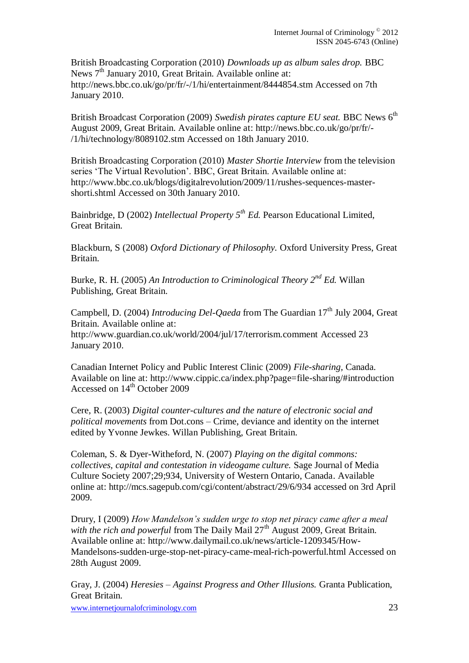British Broadcasting Corporation (2010) *Downloads up as album sales drop.* BBC News 7<sup>th</sup> January 2010, Great Britain. Available online at: http://news.bbc.co.uk/go/pr/fr/-/1/hi/entertainment/8444854.stm Accessed on 7th January 2010.

British Broadcast Corporation (2009) Swedish pirates capture EU seat. BBC News 6<sup>th</sup> August 2009, Great Britain. Available online at: http://news.bbc.co.uk/go/pr/fr/- /1/hi/technology/8089102.stm Accessed on 18th January 2010.

British Broadcasting Corporation (2010) *Master Shortie Interview* from the television series 'The Virtual Revolution'. BBC, Great Britain. Available online at: http://www.bbc.co.uk/blogs/digitalrevolution/2009/11/rushes-sequences-mastershorti.shtml Accessed on 30th January 2010.

Bainbridge, D (2002) *Intellectual Property 5th Ed.* Pearson Educational Limited, Great Britain.

Blackburn, S (2008) *Oxford Dictionary of Philosophy.* Oxford University Press, Great Britain.

Burke, R. H. (2005) *An Introduction to Criminological Theory 2nd Ed.* Willan Publishing, Great Britain.

Campbell, D. (2004) *Introducing Del-Qaeda* from The Guardian 17<sup>th</sup> July 2004. Great Britain. Available online at: http://www.guardian.co.uk/world/2004/jul/17/terrorism.comment Accessed 23 January 2010.

Canadian Internet Policy and Public Interest Clinic (2009) *File-sharing,* Canada. Available on line at: http://www.cippic.ca/index.php?page=file-sharing/#introduction Accessed on 14<sup>th</sup> October 2009

Cere, R. (2003) *Digital counter-cultures and the nature of electronic social and political movements* from Dot.cons – Crime, deviance and identity on the internet edited by Yvonne Jewkes. Willan Publishing, Great Britain.

Coleman, S. & Dyer-Witheford, N. (2007) *Playing on the digital commons: collectives, capital and contestation in videogame culture.* Sage Journal of Media Culture Society 2007;29;934, University of Western Ontario, Canada. Available online at: http://mcs.sagepub.com/cgi/content/abstract/29/6/934 accessed on 3rd April 2009.

Drury, I (2009) *How Mandelson"s sudden urge to stop net piracy came after a meal*  with the rich and powerful from The Daily Mail 27<sup>th</sup> August 2009, Great Britain. Available online at: http://www.dailymail.co.uk/news/article-1209345/How-Mandelsons-sudden-urge-stop-net-piracy-came-meal-rich-powerful.html Accessed on 28th August 2009.

Gray, J. (2004) *Heresies – Against Progress and Other Illusions.* Granta Publication, Great Britain.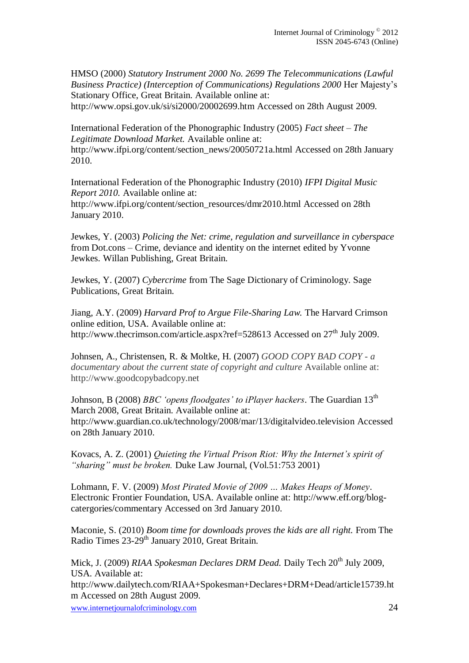HMSO (2000) *Statutory Instrument 2000 No. 2699 The Telecommunications (Lawful Business Practice) (Interception of Communications) Regulations 2000* Her Majesty"s Stationary Office, Great Britain. Available online at: http://www.opsi.gov.uk/si/si2000/20002699.htm Accessed on 28th August 2009.

International Federation of the Phonographic Industry (2005) *Fact sheet – The Legitimate Download Market.* Available online at: http://www.ifpi.org/content/section\_news/20050721a.html Accessed on 28th January 2010.

International Federation of the Phonographic Industry (2010) *IFPI Digital Music Report 2010.* Available online at:

http://www.ifpi.org/content/section\_resources/dmr2010.html Accessed on 28th January 2010.

Jewkes, Y. (2003) *Policing the Net: crime, regulation and surveillance in cyberspace* from Dot.cons – Crime, deviance and identity on the internet edited by Yvonne Jewkes. Willan Publishing, Great Britain.

Jewkes, Y. (2007) *Cybercrime* from The Sage Dictionary of Criminology. Sage Publications, Great Britain.

Jiang, A.Y. (2009) *Harvard Prof to Argue File-Sharing Law.* The Harvard Crimson online edition, USA. Available online at: http://www.thecrimson.com/article.aspx?ref=528613 Accessed on  $27<sup>th</sup>$  July 2009.

Johnsen, A., Christensen, R. & Moltke, H. (2007) *GOOD COPY BAD COPY - a documentary about the current state of copyright and culture* Available online at: http://www.goodcopybadcopy.net

Johnson, B (2008) *BBC 'opens floodgates' to iPlayer hackers*. The Guardian 13<sup>th</sup> March 2008, Great Britain. Available online at: http://www.guardian.co.uk/technology/2008/mar/13/digitalvideo.television Accessed on 28th January 2010.

Kovacs, A. Z. (2001) *Quieting the Virtual Prison Riot: Why the Internet's spirit of "sharing" must be broken.* Duke Law Journal, (Vol.51:753 2001)

Lohmann, F. V. (2009) *Most Pirated Movie of 2009 … Makes Heaps of Money*. Electronic Frontier Foundation, USA. Available online at: http://www.eff.org/blogcatergories/commentary Accessed on 3rd January 2010.

Maconie, S. (2010) *Boom time for downloads proves the kids are all right.* From The Radio Times 23-29<sup>th</sup> January 2010, Great Britain.

Mick, J. (2009) *RIAA Spokesman Declares DRM Dead.* Daily Tech 20<sup>th</sup> July 2009, USA. Available at:

http://www.dailytech.com/RIAA+Spokesman+Declares+DRM+Dead/article15739.ht m Accessed on 28th August 2009.

www.internetjournalofcriminology.com 24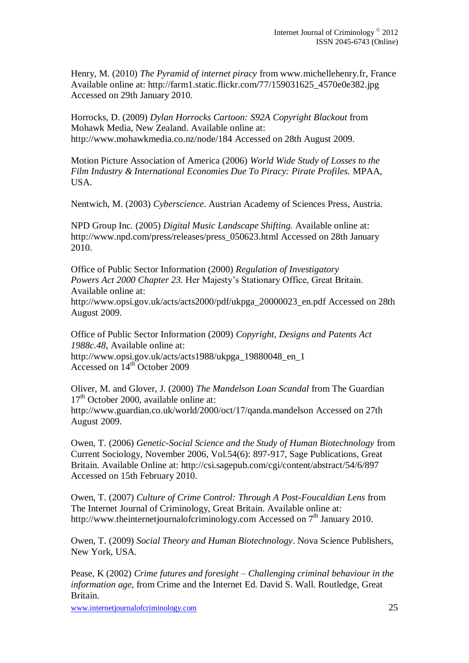Henry, M. (2010) *The Pyramid of internet piracy* from www.michellehenry.fr, France Available online at: http://farm1.static.flickr.com/77/159031625\_4570e0e382.jpg Accessed on 29th January 2010.

Horrocks, D. (2009) *Dylan Horrocks Cartoon: S92A Copyright Blackout* from Mohawk Media, New Zealand. Available online at: http://www.mohawkmedia.co.nz/node/184 Accessed on 28th August 2009.

Motion Picture Association of America (2006) *World Wide Study of Losses to the Film Industry & International Economies Due To Piracy: Pirate Profiles.* MPAA, USA.

Nentwich, M. (2003) *Cyberscience*. Austrian Academy of Sciences Press, Austria.

NPD Group Inc. (2005) *Digital Music Landscape Shifting.* Available online at: http://www.npd.com/press/releases/press\_050623.html Accessed on 28th January 2010.

Office of Public Sector Information (2000) *Regulation of Investigatory Powers Act 2000 Chapter 23.* Her Majesty"s Stationary Office, Great Britain. Available online at:

http://www.opsi.gov.uk/acts/acts2000/pdf/ukpga\_20000023\_en.pdf Accessed on 28th August 2009.

Office of Public Sector Information (2009) *Copyright, Designs and Patents Act 1988c.48*, Available online at: http://www.opsi.gov.uk/acts/acts1988/ukpga\_19880048\_en\_1 Accessed on 14th October 2009

Oliver, M. and Glover, J. (2000) *The Mandelson Loan Scandal* from The Guardian  $17<sup>th</sup>$  October 2000, available online at: http://www.guardian.co.uk/world/2000/oct/17/qanda.mandelson Accessed on 27th August 2009.

Owen, T. (2006) *Genetic-Social Science and the Study of Human Biotechnology* from Current Sociology, November 2006, Vol.54(6): 897-917, Sage Publications, Great Britain. Available Online at: http://csi.sagepub.com/cgi/content/abstract/54/6/897 Accessed on 15th February 2010.

Owen, T. (2007) *Culture of Crime Control: Through A Post-Foucaldian Lens* from The Internet Journal of Criminology, Great Britain. Available online at: http://www.theinternetjournalofcriminology.com Accessed on  $7<sup>th</sup>$  January 2010.

Owen, T. (2009) *Social Theory and Human Biotechnology*. Nova Science Publishers, New York, USA.

Pease, K (2002) *Crime futures and foresight – Challenging criminal behaviour in the information age*, from Crime and the Internet Ed. David S. Wall. Routledge, Great Britain.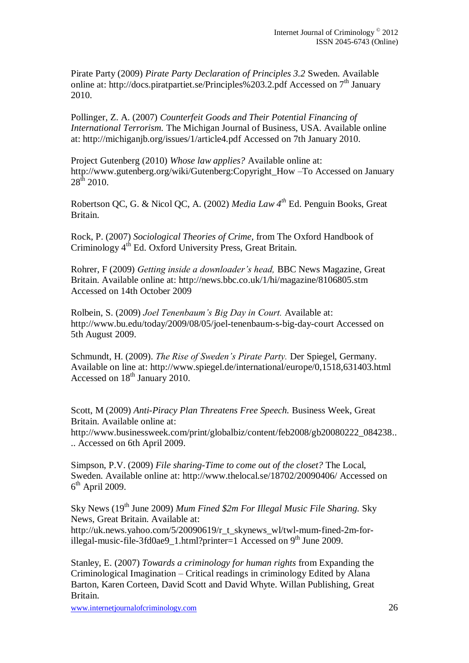Pirate Party (2009) *Pirate Party Declaration of Principles 3.2* Sweden. Available online at: http://docs.piratpartiet.se/Principles%203.2.pdf Accessed on  $7<sup>th</sup>$  January 2010.

Pollinger, Z. A. (2007) *Counterfeit Goods and Their Potential Financing of International Terrorism.* The Michigan Journal of Business, USA. Available online at: http://michiganjb.org/issues/1/article4.pdf Accessed on 7th January 2010.

Project Gutenberg (2010) *Whose law applies?* Available online at: http://www.gutenberg.org/wiki/Gutenberg:Copyright\_How –To Accessed on January  $28^{th}$  2010.

Robertson QC, G. & Nicol QC, A. (2002) *Media Law 4th* Ed. Penguin Books, Great Britain.

Rock, P. (2007) *Sociological Theories of Crime*, from The Oxford Handbook of Criminology 4th Ed. Oxford University Press, Great Britain.

Rohrer, F (2009) *Getting inside a downloader"s head,* BBC News Magazine, Great Britain. Available online at: http://news.bbc.co.uk/1/hi/magazine/8106805.stm Accessed on 14th October 2009

Rolbein, S. (2009) *Joel Tenenbaum"s Big Day in Court.* Available at: http://www.bu.edu/today/2009/08/05/joel-tenenbaum-s-big-day-court Accessed on 5th August 2009.

Schmundt, H. (2009). *The Rise of Sweden"s Pirate Party.* Der Spiegel, Germany. Available on line at: http://www.spiegel.de/international/europe/0,1518,631403.html Accessed on 18<sup>th</sup> January 2010.

Scott, M (2009) *Anti-Piracy Plan Threatens Free Speech.* Business Week, Great Britain. Available online at: http://www.businessweek.com/print/globalbiz/content/feb2008/gb20080222\_084238.. .. Accessed on 6th April 2009.

Simpson, P.V. (2009) *File sharing-Time to come out of the closet?* The Local, Sweden. Available online at: http://www.thelocal.se/18702/20090406/ Accessed on 6<sup>th</sup> April 2009.

Sky News (19<sup>th</sup> June 2009) *Mum Fined \$2m For Illegal Music File Sharing.* Sky News, Great Britain. Available at: http://uk.news.yahoo.com/5/20090619/r\_t\_skynews\_wl/twl-mum-fined-2m-forillegal-music-file-3fd0ae9\_1.html?printer=1 Accessed on 9<sup>th</sup> June 2009.

Stanley, E. (2007) *Towards a criminology for human rights* from Expanding the Criminological Imagination – Critical readings in criminology Edited by Alana Barton, Karen Corteen, David Scott and David Whyte. Willan Publishing, Great Britain.